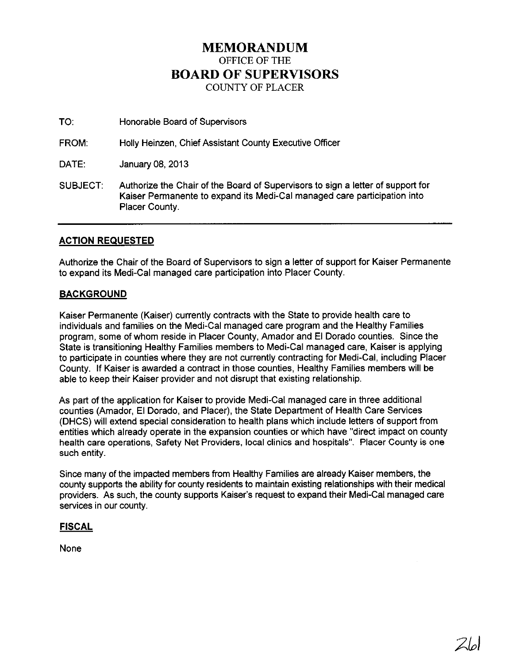## **MEMORANDUM**  OFFICE OF THE **BOARD OF SUPERVISORS**  COUNTY OF PLACER

TO: Honorable Board of Supervisors

FROM: Holly Heinzen, Chief Assistant County Executive Officer

DATE: January 08, 2013

SUBJECT: Authorize the Chair of the Board of Supervisors to sign a letter of support for Kaiser Permanente to expand its Medi-Cal managed care participation into Placer County.

### **ACTION REQUESTED**

Authorize the Chair of the Board of Supervisors to sign a letter of support for Kaiser Permanente to expand its Medi-Cal managed care participation into Placer County.

#### **BACKGROUND**

Kaiser Permanente (Kaiser) currently contracts with the State to provide health care to individuals and families on the Medi-Cal managed care program and the Healthy Families program, some of whom reside in Placer County, Amador and EI Dorado counties. Since the State is transitioning Healthy Families members to Medi-Cal managed care, Kaiser is applying to participate in counties where they are not currently contracting for Medi-Cal, including Placer County. If Kaiser is awarded a contract in those counties, Healthy Families members will be able to keep their Kaiser provider and not disrupt that existing relationship.

As part of the application for Kaiser to provide Medi-Cal managed care in three additional counties (Amador, EI Dorado, and Placer), the State Department of Health Care Services (DHCS) will extend special consideration to health plans which include letters of support from entities which already operate in the expansion counties or which have "direct impact on county health care operations, Safety Net Providers, local clinics and hospitals". Placer County is one such entity.

Since many of the impacted members from Healthy Families are already Kaiser members, the county supports the ability for county residents to maintain existing relationships with their medical providers. As such, the county supports Kaiser's request to expand their Medi-Cal managed care services in our county.

#### **FISCAL**

None